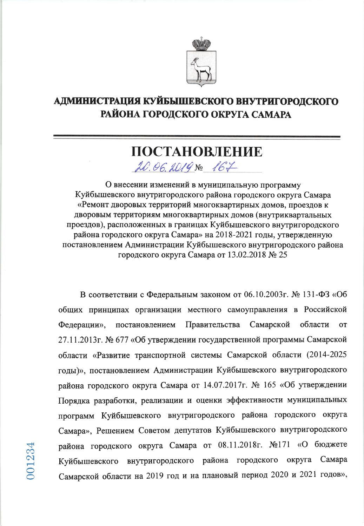

## АДМИНИСТРАЦИЯ КУЙБЫШЕВСКОГО ВНУТРИГОРОДСКОГО РАЙОНА ГОРОДСКОГО ОКРУГА САМАРА

## ПОСТАНОВЛЕНИЕ  $20.06.2019800$   $167$

О внесении изменений в муниципальную программу Куйбышевского внутригородского района городского округа Самара «Ремонт дворовых территорий многоквартирных домов, проездов к дворовым территориям многоквартирных домов (внутриквартальных проездов), расположенных в границах Куйбышевского внутригородского района городского округа Самара» на 2018-2021 годы, утвержденную постановлением Администрации Куйбышевского внутригородского района городского округа Самара от 13.02.2018 № 25

В соответствии с Федеральным законом от 06.10.2003г. № 131-ФЗ «Об общих принципах организации местного самоуправления в Российской области Самарской Федерации», постановлением Правительства **OT** 27.11.2013г. № 677 «Об утверждении государственной программы Самарской области «Развитие транспортной системы Самарской области (2014-2025 годы)», постановлением Администрации Куйбышевского внутригородского района городского округа Самара от 14.07.2017г. № 165 «Об утверждении Порядка разработки, реализации и оценки эффективности муниципальных программ Куйбышевского внутригородского района городского округа Самара», Решением Советом депутатов Куйбышевского внутригородского района городского округа Самара от 08.11.2018г. №171 «О бюджете внутригородского района городского округа Самара Куйбышевского Самарской области на 2019 год и на плановый период 2020 и 2021 годов»,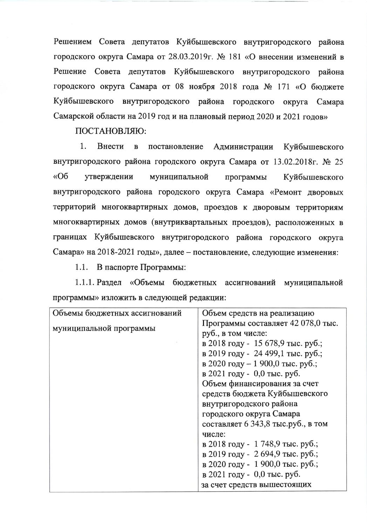Решением Совета депутатов Куйбышевского внутригородского района городского округа Самара от 28.03.2019г. № 181 «О внесении изменений в Решение Совета депутатов Куйбышевского внутригородского района городского округа Самара от 08 ноября 2018 года № 171 «О бюджете Куйбышевского внутригородского района городского округа Самара Самарской области на 2019 год и на плановый период 2020 и 2021 годов»

ПОСТАНОВЛЯЮ:

 $1<sub>1</sub>$ Внести  $\mathbf{B}$ постановление Администрации Куйбышевского внутригородского района городского округа Самара от 13.02.2018г. № 25  $\triangleleft$ Oб утверждении муниципальной программы Куйбышевского внутригородского района городского округа Самара «Ремонт дворовых территорий многоквартирных домов, проездов к дворовым территориям многоквартирных домов (внутриквартальных проездов), расположенных в границах Куйбышевского внутригородского района городского округа Самара» на 2018-2021 годы», далее – постановление, следующие изменения:

1.1. В паспорте Программы:

1.1.1. Раздел «Объемы бюджетных ассигнований муниципальной программы» изложить в следующей редакции:

| Объемы бюджетных ассигнований | Объем средств на реализацию        |
|-------------------------------|------------------------------------|
| муниципальной программы       | Программы составляет 42 078,0 тыс. |
|                               | руб., в том числе:                 |
|                               | в 2018 году - 15 678,9 тыс. руб.;  |
|                               | в 2019 году - 24 499,1 тыс. руб.;  |
|                               | в 2020 году – 1 900,0 тыс. руб.;   |
|                               | в 2021 году - 0,0 тыс. руб.        |
|                               | Объем финансирования за счет       |
|                               | средств бюджета Куйбышевского      |
|                               | внутригородского района            |
|                               | городского округа Самара           |
|                               | составляет 6 343,8 тыс.руб., в том |
|                               | числе:                             |
|                               | в 2018 году - 1 748,9 тыс. руб.;   |
|                               | в 2019 году - 2694,9 тыс. руб.;    |
|                               | в 2020 году - 1 900,0 тыс. руб.;   |
|                               | в 2021 году - 0,0 тыс. руб.        |
|                               | за счет средств вышестоящих        |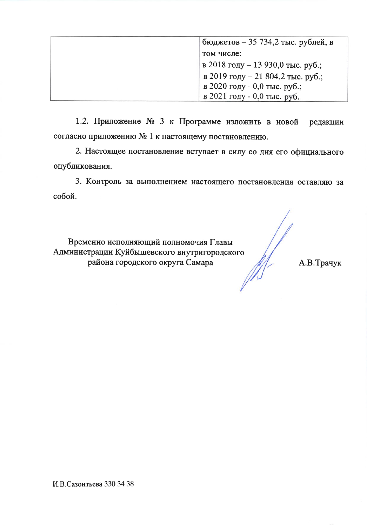| бюджетов – 35 734,2 тыс. рублей, в |
|------------------------------------|
| том числе:                         |
| в 2018 году – 13 930,0 тыс. руб.;  |
| в 2019 году – 21 804,2 тыс. руб.;  |
| в 2020 году - 0,0 тыс. руб.;       |
| в 2021 году - 0,0 тыс. руб.        |

1.2. Приложение № 3 к Программе изложить в новой редакции согласно приложению № 1 к настоящему постановлению.

2. Настоящее постановление вступает в силу со дня его официального опубликования.

3. Контроль за выполнением настоящего постановления оставляю за собой.

Временно исполняющий полномочия Главы Администрации Куйбышевского внутригородского района городского округа Самара

А.В.Трачук